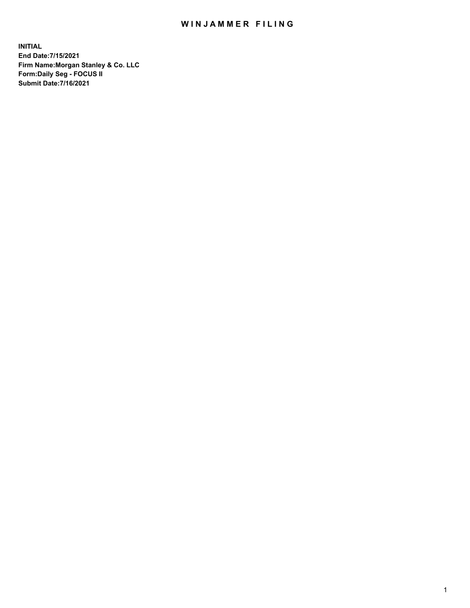## WIN JAMMER FILING

**INITIAL End Date:7/15/2021 Firm Name:Morgan Stanley & Co. LLC Form:Daily Seg - FOCUS II Submit Date:7/16/2021**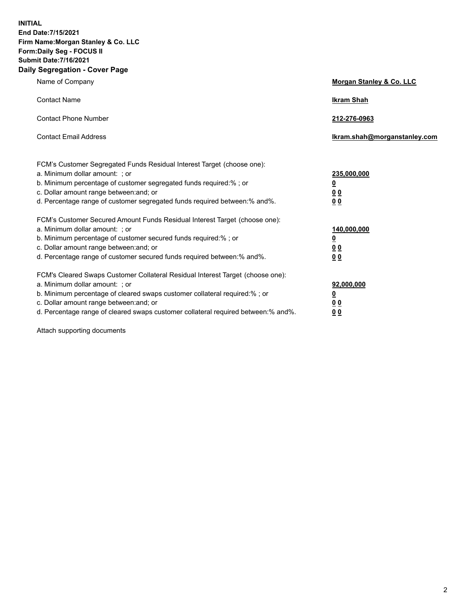**INITIAL End Date:7/15/2021 Firm Name:Morgan Stanley & Co. LLC Form:Daily Seg - FOCUS II Submit Date:7/16/2021 Daily Segregation - Cover Page**

| Name of Company                                                                                                                                                                                                                                                                                                                | Morgan Stanley & Co. LLC                               |  |
|--------------------------------------------------------------------------------------------------------------------------------------------------------------------------------------------------------------------------------------------------------------------------------------------------------------------------------|--------------------------------------------------------|--|
| <b>Contact Name</b>                                                                                                                                                                                                                                                                                                            | <b>Ikram Shah</b>                                      |  |
| <b>Contact Phone Number</b>                                                                                                                                                                                                                                                                                                    | 212-276-0963                                           |  |
| <b>Contact Email Address</b>                                                                                                                                                                                                                                                                                                   | Ikram.shah@morganstanley.com                           |  |
| FCM's Customer Segregated Funds Residual Interest Target (choose one):<br>a. Minimum dollar amount: ; or<br>b. Minimum percentage of customer segregated funds required:% ; or<br>c. Dollar amount range between: and; or<br>d. Percentage range of customer segregated funds required between: % and %.                       | 235,000,000<br><u>0</u><br>00<br>0 <sub>0</sub>        |  |
| FCM's Customer Secured Amount Funds Residual Interest Target (choose one):<br>a. Minimum dollar amount: ; or<br>b. Minimum percentage of customer secured funds required:% ; or<br>c. Dollar amount range between: and; or<br>d. Percentage range of customer secured funds required between:% and%.                           | 140,000,000<br><u>0</u><br><u>00</u><br>0 <sub>0</sub> |  |
| FCM's Cleared Swaps Customer Collateral Residual Interest Target (choose one):<br>a. Minimum dollar amount: ; or<br>b. Minimum percentage of cleared swaps customer collateral required:% ; or<br>c. Dollar amount range between: and; or<br>d. Percentage range of cleared swaps customer collateral required between:% and%. | 92,000,000<br><u>0</u><br><u>00</u><br>00              |  |

Attach supporting documents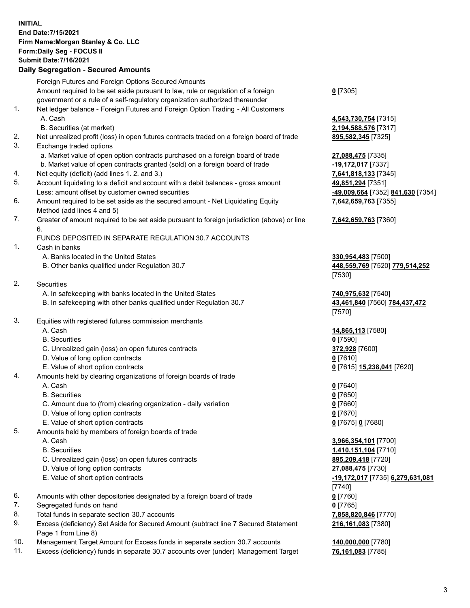## **INITIAL End Date:7/15/2021 Firm Name:Morgan Stanley & Co. LLC Form:Daily Seg - FOCUS II Submit Date:7/16/2021**

## **Daily Segregation - Secured Amounts**

|    | Foreign Futures and Foreign Options Secured Amounts<br>Amount required to be set aside pursuant to law, rule or regulation of a foreign | $0$ [7305]                   |
|----|-----------------------------------------------------------------------------------------------------------------------------------------|------------------------------|
|    | government or a rule of a self-regulatory organization authorized thereunder                                                            |                              |
| 1. | Net ledger balance - Foreign Futures and Foreign Option Trading - All Customers                                                         |                              |
|    | A. Cash                                                                                                                                 | 4,543,730,754 [7315]         |
|    | B. Securities (at market)                                                                                                               | 2,194,588,576 [7317]         |
| 2. | Net unrealized profit (loss) in open futures contracts traded on a foreign board of trade                                               | 895,582,345 [7325]           |
| 3. | Exchange traded options                                                                                                                 |                              |
|    | a. Market value of open option contracts purchased on a foreign board of trade                                                          | 27,088,475 [7335]            |
|    | b. Market value of open contracts granted (sold) on a foreign board of trade                                                            | -19,172,017 [7337]           |
| 4. | Net equity (deficit) (add lines 1.2. and 3.)                                                                                            | 7,641,818,133 [7345]         |
| 5. | Account liquidating to a deficit and account with a debit balances - gross amount                                                       | 49,851,294 [7351]            |
|    | Less: amount offset by customer owned securities                                                                                        | -49,009,664 [7352] 84        |
| 6. | Amount required to be set aside as the secured amount - Net Liquidating Equity                                                          | 7,642,659,763 [7355]         |
|    | Method (add lines 4 and 5)                                                                                                              |                              |
| 7. | Greater of amount required to be set aside pursuant to foreign jurisdiction (above) or line<br>6.                                       | 7,642,659,763 [7360]         |
|    | FUNDS DEPOSITED IN SEPARATE REGULATION 30.7 ACCOUNTS                                                                                    |                              |
| 1. | Cash in banks                                                                                                                           |                              |
|    | A. Banks located in the United States                                                                                                   | 330,954,483 [7500]           |
|    | B. Other banks qualified under Regulation 30.7                                                                                          | 448,559,769 [7520] 7         |
|    |                                                                                                                                         | [7530]                       |
| 2. | Securities                                                                                                                              |                              |
|    | A. In safekeeping with banks located in the United States                                                                               | 740,975,632 [7540]           |
|    | B. In safekeeping with other banks qualified under Regulation 30.7                                                                      | 43,461,840 [7560] 78         |
|    |                                                                                                                                         | [7570]                       |
| 3. | Equities with registered futures commission merchants                                                                                   |                              |
|    | A. Cash                                                                                                                                 | 14,865,113 [7580]            |
|    | <b>B.</b> Securities                                                                                                                    | $0$ [7590]                   |
|    | C. Unrealized gain (loss) on open futures contracts                                                                                     | 372,928 [7600]               |
|    | D. Value of long option contracts                                                                                                       | $0$ [7610]                   |
|    | E. Value of short option contracts                                                                                                      | 0 [7615] 15,238,041 [        |
| 4. | Amounts held by clearing organizations of foreign boards of trade                                                                       |                              |
|    | A. Cash                                                                                                                                 | $0$ [7640]                   |
|    | <b>B.</b> Securities                                                                                                                    | $0$ [7650]                   |
|    | C. Amount due to (from) clearing organization - daily variation                                                                         | $0$ [7660]                   |
|    | D. Value of long option contracts                                                                                                       | $0$ [7670]                   |
|    | E. Value of short option contracts                                                                                                      | 0 [7675] 0 [7680]            |
| 5. | Amounts held by members of foreign boards of trade                                                                                      |                              |
|    | A. Cash                                                                                                                                 | 3,966,354,101 [7700]         |
|    | <b>B.</b> Securities                                                                                                                    | 1,410,151,104 [7710]         |
|    | C. Unrealized gain (loss) on open futures contracts                                                                                     | 895,209,418 [7720]           |
|    | D. Value of long option contracts                                                                                                       | 27,088,475 [7730]            |
|    | E. Value of short option contracts                                                                                                      | <u>-19,172,017</u> [7735] 6, |
|    |                                                                                                                                         | $[7740]$                     |
| 6. | Amounts with other depositories designated by a foreign board of trade                                                                  | $0$ [7760]                   |
| 7. | Segregated funds on hand                                                                                                                | $0$ [7765]                   |
| 8. | Total funds in separate section 30.7 accounts                                                                                           | 7,858,820,846 [7770]         |
| 9. | Excess (deficiency) Set Aside for Secured Amount (subtract line 7 Secured Statement<br>Page 1 from Line 8)                              | 216,161,083 [7380]           |

- 10. Management Target Amount for Excess funds in separate section 30.7 accounts **140,000,000** [7780]
- 11. Excess (deficiency) funds in separate 30.7 accounts over (under) Management Target **76,161,083** [7785]

88,576<sup>[7317]</sup> Less: amount offset by customer owned securities **-49,009,664** [7352] **841,630** [7354] **59,763** [7355]

## **7,642,659,763** [7360]

B. Other banks qualified under Regulation 30.7 **448,559,769** [7520] **779,514,252**

840 [7560] **784,437,472** 

E. Value of short option contracts **0** [7615] **15,238,041** [7620]

**34,101** [7700] **1,104** [7710] E. Value of short option contracts **-19,172,017** [7735] **6,279,631,081 216,161,083** [7380]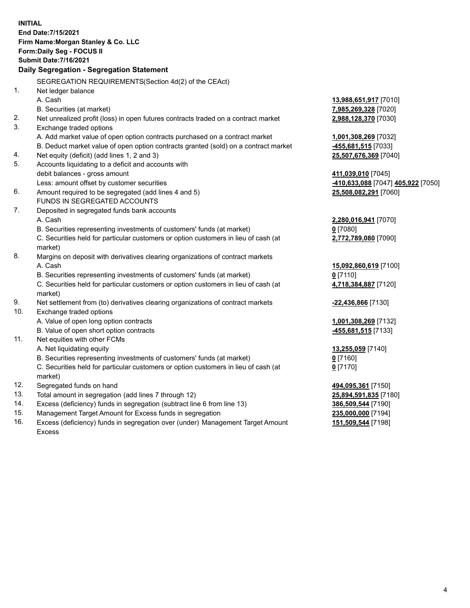**INITIAL End Date:7/15/2021 Firm Name:Morgan Stanley & Co. LLC Form:Daily Seg - FOCUS II Submit Date:7/16/2021 Daily Segregation - Segregation Statement** SEGREGATION REQUIREMENTS(Section 4d(2) of the CEAct) 1. Net ledger balance A. Cash **13,988,651,917** [7010] B. Securities (at market) **7,985,269,328** [7020] 2. Net unrealized profit (loss) in open futures contracts traded on a contract market **2,988,128,370** [7030] 3. Exchange traded options A. Add market value of open option contracts purchased on a contract market **1,001,308,269** [7032] B. Deduct market value of open option contracts granted (sold) on a contract market **-455,681,515** [7033] 4. Net equity (deficit) (add lines 1, 2 and 3) **25,507,676,369** [7040] 5. Accounts liquidating to a deficit and accounts with debit balances - gross amount **411,039,010** [7045] Less: amount offset by customer securities **-410,633,088** [7047] **405,922** [7050] 6. Amount required to be segregated (add lines 4 and 5) **25,508,082,291** [7060] FUNDS IN SEGREGATED ACCOUNTS 7. Deposited in segregated funds bank accounts A. Cash **2,280,016,941** [7070] B. Securities representing investments of customers' funds (at market) **0** [7080] C. Securities held for particular customers or option customers in lieu of cash (at market) **2,772,789,080** [7090] 8. Margins on deposit with derivatives clearing organizations of contract markets A. Cash **15,092,860,619** [7100] B. Securities representing investments of customers' funds (at market) **0** [7110] C. Securities held for particular customers or option customers in lieu of cash (at market) **4,718,384,887** [7120] 9. Net settlement from (to) derivatives clearing organizations of contract markets **-22,436,866** [7130] 10. Exchange traded options A. Value of open long option contracts **1,001,308,269** [7132] B. Value of open short option contracts **-455,681,515** [7133] 11. Net equities with other FCMs A. Net liquidating equity **13,255,059** [7140] B. Securities representing investments of customers' funds (at market) **0** [7160] C. Securities held for particular customers or option customers in lieu of cash (at market) **0** [7170] 12. Segregated funds on hand **494,095,361** [7150] 13. Total amount in segregation (add lines 7 through 12) **25,894,591,835** [7180] 14. Excess (deficiency) funds in segregation (subtract line 6 from line 13) **386,509,544** [7190] 15. Management Target Amount for Excess funds in segregation **235,000,000** [7194]

16. Excess (deficiency) funds in segregation over (under) Management Target Amount Excess

**151,509,544** [7198]